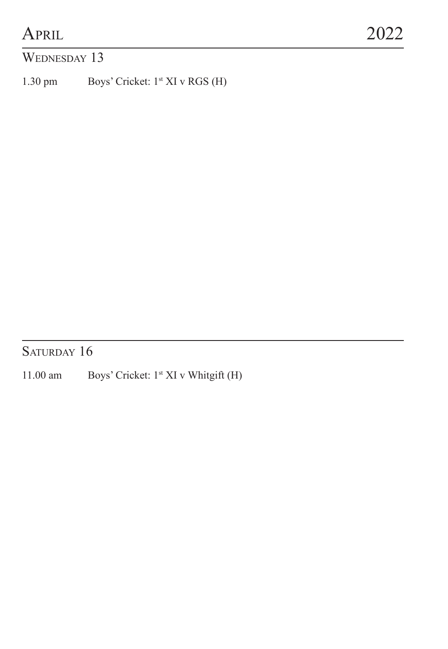#### WEDNESDAY 13

1.30 pm Boys' Cricket: 1st XI v RGS (H)

SATURDAY 16

11.00 am Boys' Cricket: 1st XI v Whitgift (H)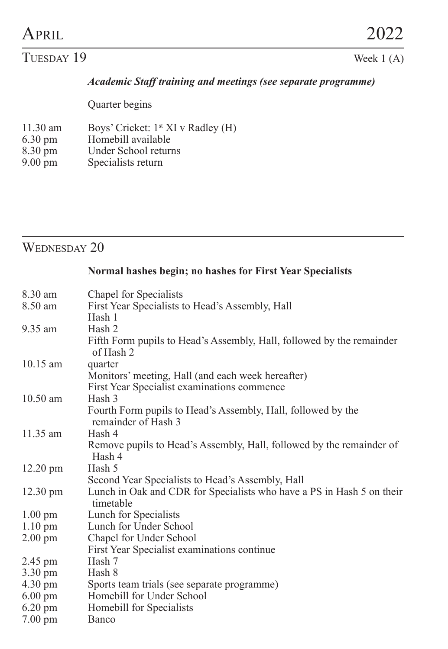#### $TUESday 19$  Week 1 (A)

#### *Academic Staff training and meetings (see separate programme)*

Quarter begins

- 11.30 am Boys' Cricket:  $1$ <sup>st</sup> XI v Radley (H) 6.30 pm Homebill available
- 6.30 pm<br>8.30 pm<br>Under School return
- 8.30 pm<br>
9.00 pm<br>
9.00 pm<br>
Specialists return
- Specialists return

### WEDNESDAY 20

#### **Normal hashes begin; no hashes for First Year Specialists**

| 8.30 am            | Chapel for Specialists                                                              |
|--------------------|-------------------------------------------------------------------------------------|
| 8.50 am            | First Year Specialists to Head's Assembly, Hall                                     |
|                    | Hash 1                                                                              |
| 9.35 am            | Hash 2                                                                              |
|                    | Fifth Form pupils to Head's Assembly, Hall, followed by the remainder<br>of Hash 2  |
| $10.15$ am         | quarter                                                                             |
|                    | Monitors' meeting, Hall (and each week hereafter)                                   |
|                    | First Year Specialist examinations commence                                         |
| $10.50$ am         | Hash 3                                                                              |
|                    |                                                                                     |
|                    | Fourth Form pupils to Head's Assembly, Hall, followed by the<br>remainder of Hash 3 |
| $11.35 \text{ am}$ | Hash 4                                                                              |
|                    |                                                                                     |
|                    | Remove pupils to Head's Assembly, Hall, followed by the remainder of<br>Hash 4      |
| $12.20$ pm         | Hash 5                                                                              |
|                    | Second Year Specialists to Head's Assembly, Hall                                    |
| $12.30 \text{ pm}$ | Lunch in Oak and CDR for Specialists who have a PS in Hash 5 on their<br>timetable  |
| $1.00 \text{ pm}$  | Lunch for Specialists                                                               |
| $1.10 \text{ pm}$  | Lunch for Under School                                                              |
| $2.00 \text{ pm}$  | Chapel for Under School                                                             |
|                    | First Year Specialist examinations continue                                         |
| 2.45 pm            | Hash 7                                                                              |
| $3.30 \text{ pm}$  | Hash 8                                                                              |
| $4.30 \text{ pm}$  | Sports team trials (see separate programme)                                         |
| $6.00 \text{ pm}$  | Homebill for Under School                                                           |
| $6.20 \text{ pm}$  | Homebill for Specialists                                                            |
| $7.00 \text{ pm}$  | Banco                                                                               |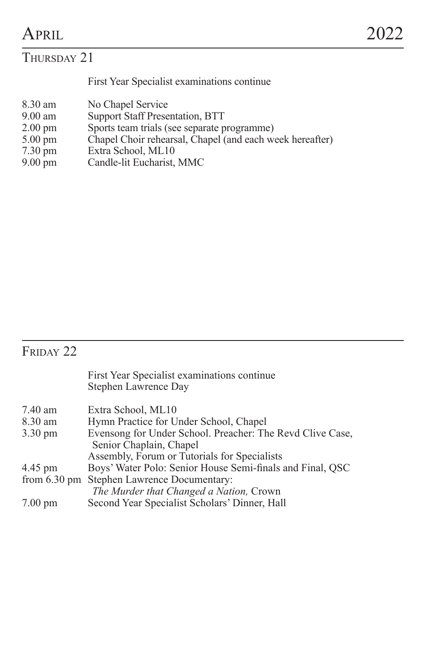#### THURSDAY 21

First Year Specialist examinations continue

- 8.30 am No Chapel Service<br>9.00 am Support Staff Prese
- 9.00 am Support Staff Presentation, BTT<br>2.00 pm Sports team trials (see separate p
- 
- 2.00 pm Sports team trials (see separate programme) 5.00 pm Chapel Choir rehearsal, Chapel (and each week hereafter)
- 7.30 pm<br>
Extra School, ML10<br>
9.00 pm<br>
Candle-lit Eucharist,
- Candle-lit Eucharist, MMC

## $F_{\rm RIDAY}$  22

|                        | First Year Specialist examinations continue<br>Stephen Lawrence Day                  |
|------------------------|--------------------------------------------------------------------------------------|
| 7.40 am                | Extra School, ML10                                                                   |
| 8.30 am                | Hymn Practice for Under School, Chapel                                               |
| $3.30 \text{ pm}$      | Evensong for Under School. Preacher: The Revd Clive Case,<br>Senior Chaplain, Chapel |
|                        | Assembly, Forum or Tutorials for Specialists                                         |
| 4.45 pm                | Boys' Water Polo: Senior House Semi-finals and Final, QSC                            |
| from $6.30 \text{ pm}$ | Stephen Lawrence Documentary:                                                        |
|                        | The Murder that Changed a Nation, Crown                                              |
| $7.00 \text{ pm}$      | Second Year Specialist Scholars' Dinner, Hall                                        |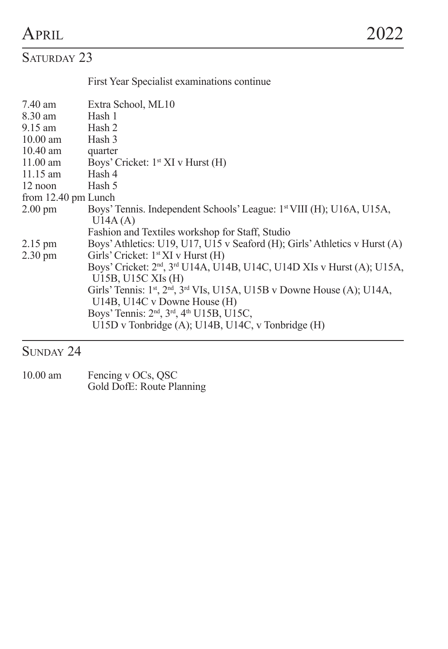## SATURDAY 23

First Year Specialist examinations continue

| 7.40 am             | Extra School, ML10                                                                                                                 |
|---------------------|------------------------------------------------------------------------------------------------------------------------------------|
| 8.30 am             | Hash 1                                                                                                                             |
| 9.15 am             | Hash 2                                                                                                                             |
| $10.00$ am          | Hash 3                                                                                                                             |
| $10.40$ am          | quarter                                                                                                                            |
| $11.00$ am          | Boys' Cricket: 1 <sup>st</sup> XI v Hurst (H)                                                                                      |
| $11.15$ am          | Hash 4                                                                                                                             |
| $12$ noon           | Hash 5                                                                                                                             |
| from 12.40 pm Lunch |                                                                                                                                    |
| $2.00 \text{ pm}$   | Boys' Tennis. Independent Schools' League: 1 <sup>st</sup> VIII (H); U16A, U15A,<br>U14A(A)                                        |
|                     | Fashion and Textiles workshop for Staff, Studio                                                                                    |
| $2.15 \text{ pm}$   | Boys' Athletics: U19, U17, U15 v Seaford (H); Girls' Athletics v Hurst (A)                                                         |
| $2.30 \text{ pm}$   | Girls' Cricket: 1 <sup>st</sup> XI v Hurst (H)                                                                                     |
|                     | Boys' Cricket: 2 <sup>nd</sup> , 3 <sup>rd</sup> U14A, U14B, U14C, U14D XIs v Hurst (A); U15A,<br>U15B, U15C XIs (H)               |
|                     | Girls' Tennis: 1st, 2nd, 3rd VIs, U15A, U15B v Downe House (A); U14A,<br>U14B, U14C v Downe House (H)                              |
|                     | Boys' Tennis: 2 <sup>nd</sup> , 3 <sup>rd</sup> , 4 <sup>th</sup> U15B, U15C,<br>U15D v Tonbridge (A); U14B, U14C, v Tonbridge (H) |
|                     |                                                                                                                                    |

### SUNDAY 24

10.00 am Fencing v OCs, QSC Gold DofE: Route Planning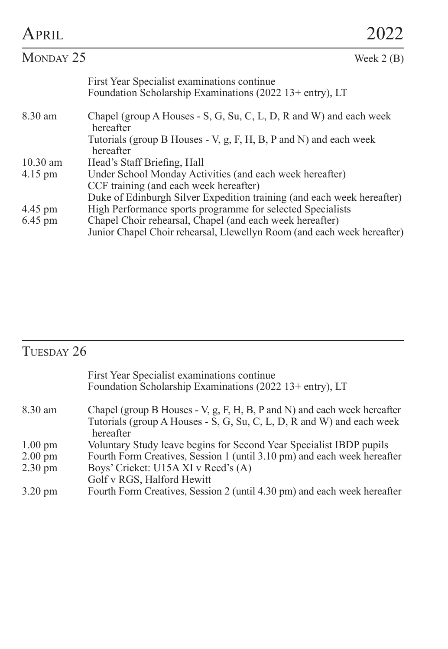| APRII.               |                                                                                                                                                                                                                                                                             |  |
|----------------------|-----------------------------------------------------------------------------------------------------------------------------------------------------------------------------------------------------------------------------------------------------------------------------|--|
| MONDAY 25            | Week $2(B)$                                                                                                                                                                                                                                                                 |  |
|                      | First Year Specialist examinations continue<br>Foundation Scholarship Examinations (2022 13+ entry), LT                                                                                                                                                                     |  |
| 8.30 am              | Chapel (group A Houses - S, G, Su, C, L, D, R and W) and each week<br>hereafter                                                                                                                                                                                             |  |
|                      | Tutorials (group B Houses - V, g, F, H, B, P and N) and each week<br>hereafter                                                                                                                                                                                              |  |
| $10.30$ am           | Head's Staff Briefing, Hall                                                                                                                                                                                                                                                 |  |
| $4.15 \text{ pm}$    | Under School Monday Activities (and each week hereafter)                                                                                                                                                                                                                    |  |
|                      | CCF training (and each week hereafter)                                                                                                                                                                                                                                      |  |
| 4.45 pm<br>$6.45$ pm | Duke of Edinburgh Silver Expedition training (and each week hereafter)<br>High Performance sports programme for selected Specialists<br>Chapel Choir rehearsal, Chapel (and each week hereafter)<br>Junior Chapel Choir rehearsal, Llewellyn Room (and each week hereafter) |  |

## TUESDAY 26

| First Year Specialist examinations continue<br>Foundation Scholarship Examinations (2022 13+ entry), LT |
|---------------------------------------------------------------------------------------------------------|
| Chapel (group B Houses - V, g, F, H, B, P and N) and each week hereafter                                |
| Tutorials (group A Houses - S, G, Su, C, L, D, R and W) and each week<br>hereafter                      |
| Voluntary Study leave begins for Second Year Specialist IBDP pupils                                     |
| Fourth Form Creatives, Session 1 (until 3.10 pm) and each week hereafter                                |
| Boys' Cricket: U15A XI v Reed's (A)                                                                     |
| Golf v RGS, Halford Hewitt                                                                              |
| Fourth Form Creatives, Session 2 (until 4.30 pm) and each week hereafter                                |
|                                                                                                         |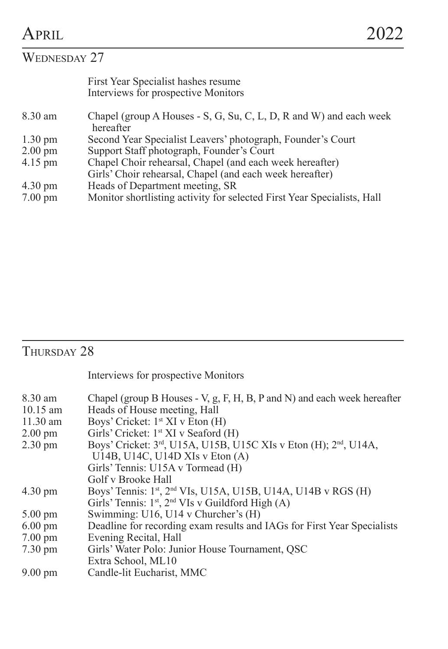## WEDNESDAY 27

|                   | First Year Specialist hashes resume<br>Interviews for prospective Monitors      |
|-------------------|---------------------------------------------------------------------------------|
| 8.30 am           | Chapel (group A Houses - S, G, Su, C, L, D, R and W) and each week<br>hereafter |
| $1.30 \text{ pm}$ | Second Year Specialist Leavers' photograph, Founder's Court                     |
| $2.00 \text{ pm}$ | Support Staff photograph, Founder's Court                                       |
| 4.15 pm           | Chapel Choir rehearsal, Chapel (and each week hereafter)                        |
|                   | Girls' Choir rehearsal, Chapel (and each week hereafter)                        |
| 4.30 pm           | Heads of Department meeting, SR                                                 |
| 7.00 pm           | Monitor shortlisting activity for selected First Year Specialists, Hall         |
|                   |                                                                                 |

## THURSDAY 28

Interviews for prospective Monitors

| 8.30 am           | Chapel (group B Houses - V, g, F, H, B, P and N) and each week hereafter                  |
|-------------------|-------------------------------------------------------------------------------------------|
| 10.15 am          | Heads of House meeting, Hall                                                              |
| $11.30$ am        | Boys' Cricket: $1st XI v Eton (H)$                                                        |
| $2.00 \text{ pm}$ | Girls' Cricket: 1 <sup>st</sup> XI v Seaford (H)                                          |
| $2.30 \text{ pm}$ | Boys' Cricket: 3 <sup>rd</sup> , U15A, U15B, U15C XIs v Eton (H); 2 <sup>nd</sup> , U14A, |
|                   | U14B, U14C, U14D XIs v Eton $(A)$                                                         |
|                   | Girls' Tennis: U15A v Tormead (H)                                                         |
|                   | Golf v Brooke Hall                                                                        |
| $4.30 \text{ pm}$ | Boys' Tennis: 1st, 2 <sup>nd</sup> VIs, U15A, U15B, U14A, U14B v RGS (H)                  |
|                   | Girls' Tennis: $1st$ , $2nd$ VIs v Guildford High (A)                                     |
| $5.00 \text{ pm}$ | Swimming: U16, U14 v Churcher's (H)                                                       |
| $6.00 \text{ pm}$ | Deadline for recording exam results and IAGs for First Year Specialists                   |
| $7.00 \text{ pm}$ | Evening Recital, Hall                                                                     |
| $7.30 \text{ pm}$ | Girls' Water Polo: Junior House Tournament, OSC                                           |
|                   | Extra School, ML10                                                                        |
| $9.00 \text{ pm}$ | Candle-lit Eucharist, MMC                                                                 |
|                   |                                                                                           |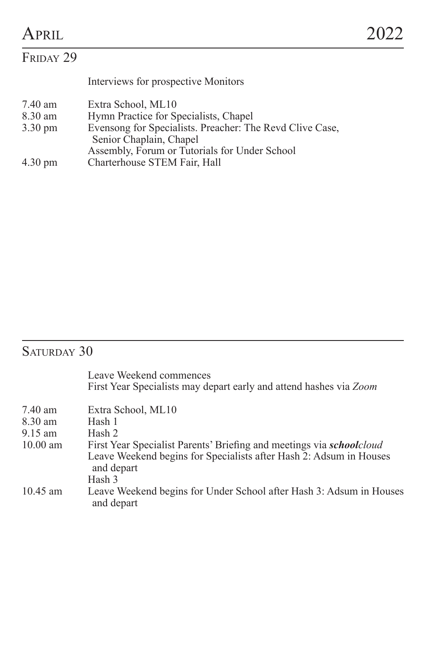| Interviews for prospective Monitors                                                 |
|-------------------------------------------------------------------------------------|
| Extra School, ML10                                                                  |
| Hymn Practice for Specialists, Chapel                                               |
| Evensong for Specialists. Preacher: The Revd Clive Case.<br>Senior Chaplain, Chapel |
| Assembly, Forum or Tutorials for Under School                                       |
| Charterhouse STEM Fair, Hall                                                        |
|                                                                                     |

## SATURDAY 30

|            | Leave Weekend commences<br>First Year Specialists may depart early and attend hashes via Zoom |
|------------|-----------------------------------------------------------------------------------------------|
| 7.40 am    | Extra School, ML10                                                                            |
| 8.30 am    | Hash 1                                                                                        |
| $9.15$ am  | Hash 2                                                                                        |
| $10.00$ am | First Year Specialist Parents' Briefing and meetings via <i>schoolcloud</i>                   |
|            | Leave Weekend begins for Specialists after Hash 2: Adsum in Houses<br>and depart              |
|            | Hash 3                                                                                        |
| $10.45$ am | Leave Weekend begins for Under School after Hash 3: Adsum in Houses<br>and depart             |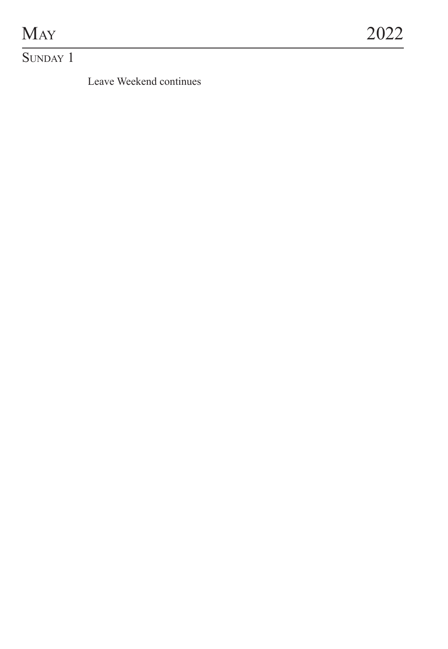# $M_{AY}$  2022

SUNDAY 1

Leave Weekend continues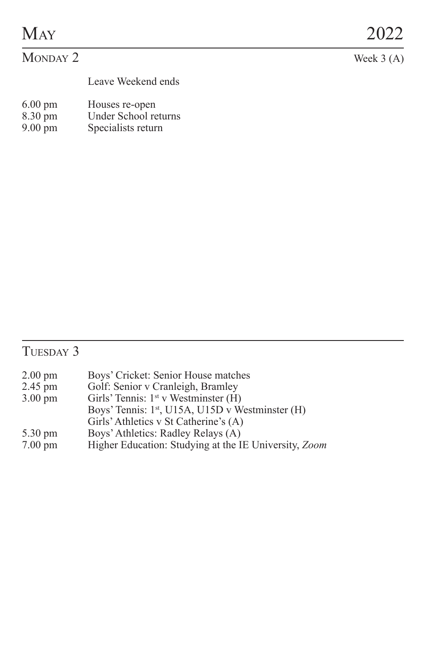|--|

Leave Weekend ends

- 6.00 pm Houses re-open 8.30 pm Under School returns
- 
- 9.00 pm Specialists return

## TUESDAY 3

| $2.00 \text{ pm}$ | Boys' Cricket: Senior House matches                          |
|-------------------|--------------------------------------------------------------|
| 2.45 pm           | Golf: Senior v Cranleigh, Bramley                            |
| $3.00 \text{ pm}$ | Girls' Tennis: $1st$ v Westminster (H)                       |
|                   | Boys' Tennis: 1 <sup>st</sup> , U15A, U15D v Westminster (H) |
|                   | Girls' Athletics v St Catherine's (A)                        |
| 5.30 pm           | Boys' Athletics: Radley Relays (A)                           |
| $7.00 \text{ pm}$ | Higher Education: Studying at the IE University, Zoom        |
|                   |                                                              |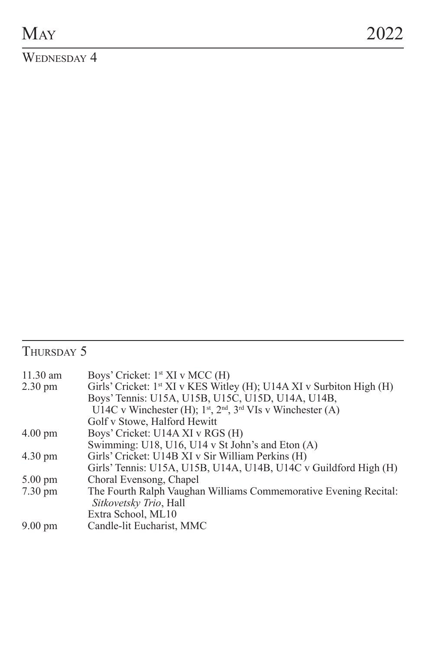WEDNESDAY 4

## THURSDAY 5

| Boys' Cricket: 1 <sup>st</sup> XI v MCC (H)                                      |
|----------------------------------------------------------------------------------|
| Girls' Cricket: 1 <sup>st</sup> XI v KES Witley (H); U14A XI v Surbiton High (H) |
| Boys' Tennis: U15A, U15B, U15C, U15D, U14A, U14B,                                |
| U14C v Winchester (H); $1^{st}$ , $2^{nd}$ , $3^{rd}$ VIs v Winchester (A)       |
| Golf v Stowe, Halford Hewitt                                                     |
| Boys' Cricket: U14A XI v RGS (H)                                                 |
| Swimming: U18, U16, U14 v St John's and Eton (A)                                 |
| Girls' Cricket: U14B XI v Sir William Perkins (H)                                |
| Girls' Tennis: U15A, U15B, U14A, U14B, U14C v Guildford High (H)                 |
| Choral Evensong, Chapel                                                          |
| The Fourth Ralph Vaughan Williams Commemorative Evening Recital:                 |
| Sitkovetsky Trio, Hall                                                           |
| Extra School, ML10                                                               |
| Candle-lit Eucharist, MMC                                                        |
|                                                                                  |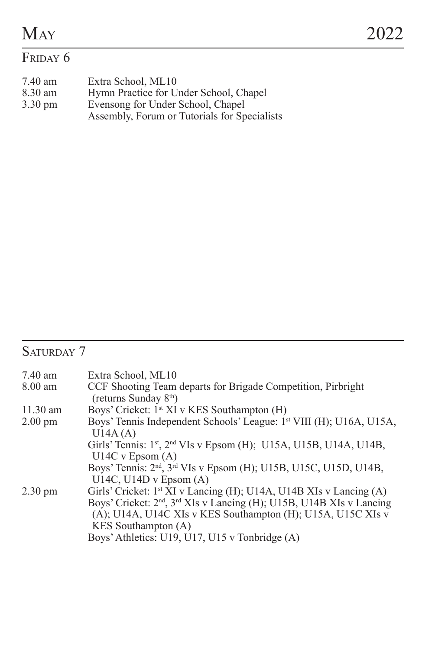# FRIDAY 6

| 7.40 am           | Extra School. ML10                           |
|-------------------|----------------------------------------------|
| 8.30 am           | Hymn Practice for Under School, Chapel       |
| $3.30 \text{ pm}$ | Evensong for Under School, Chapel            |
|                   | Assembly, Forum or Tutorials for Specialists |

## SATURDAY 7

| 7.40 am           | Extra School, ML10                                                                                |
|-------------------|---------------------------------------------------------------------------------------------------|
| 8.00 am           | CCF Shooting Team departs for Brigade Competition, Pirbright<br>(returns Sunday 8 <sup>th</sup> ) |
|                   |                                                                                                   |
| $11.30$ am        | Boys' Cricket: 1 <sup>st</sup> XI v KES Southampton (H)                                           |
| $2.00 \text{ pm}$ | Boys' Tennis Independent Schools' League: 1 <sup>st</sup> VIII (H); U16A, U15A,<br>U14A(A)        |
|                   | Girls' Tennis: 1 <sup>st</sup> , 2 <sup>nd</sup> VIs v Epsom (H); U15A, U15B, U14A, U14B,         |
|                   | $U14C$ v Epsom $(A)$                                                                              |
|                   | Boys' Tennis: 2 <sup>nd</sup> , 3 <sup>rd</sup> VIs v Epsom (H); U15B, U15C, U15D, U14B,          |
|                   | U14C, U14D v Epsom $(A)$                                                                          |
| $2.30 \text{ pm}$ | Girls' Cricket: 1 <sup>st</sup> XI v Lancing (H); U14A, U14B XIs v Lancing (A)                    |
|                   | Boys' Cricket: 2 <sup>nd</sup> , 3 <sup>rd</sup> XIs v Lancing (H); U15B, U14B XIs v Lancing      |
|                   | (A); U14A, U14C XIs v KES Southampton (H); U15A, U15C XIs v                                       |
|                   | KES Southampton (A)                                                                               |
|                   | Boys' Athletics: U19, U17, U15 v Tonbridge (A)                                                    |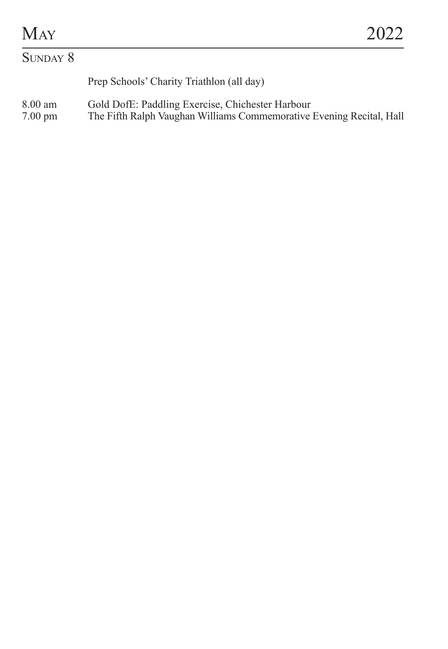# $M_{AY}$  2022

# SUNDAY 8 Prep Schools' Charity Triathlon (all day) 8.00 am Gold DofE: Paddling Exercise, Chichester Harbour 7.00 pm The Fifth Ralph Vaughan Williams Commemorative Evening Recital, Hall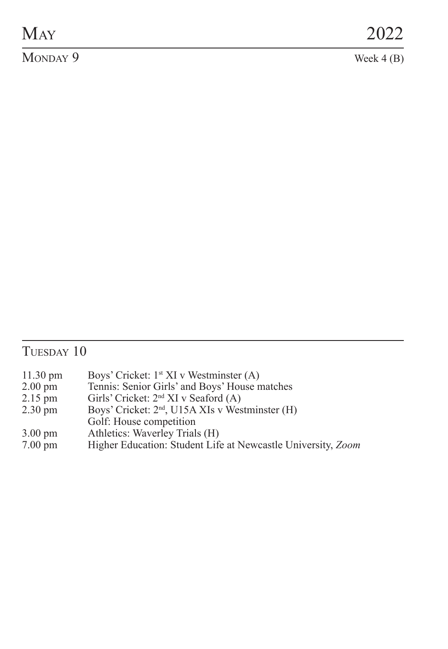# $\overline{\text{MONDAY 9}}$  Week 4 (B)

## TUESDAY 10

| $11.30 \text{ pm}$ | Boys' Cricket: 1 <sup>st</sup> XI v Westminster (A)          |
|--------------------|--------------------------------------------------------------|
| $2.00 \text{ pm}$  | Tennis: Senior Girls' and Boys' House matches                |
| 2.15 pm            | Girls' Cricket: 2 <sup>nd</sup> XI v Seaford (A)             |
| 2.30 pm            | Boys' Cricket: 2 <sup>nd</sup> , U15A XIs v Westminster (H)  |
|                    | Golf: House competition                                      |
| 3.00 pm            | Athletics: Waverley Trials (H)                               |
| $7.00 \text{ pm}$  | Higher Education: Student Life at Newcastle University, Zoom |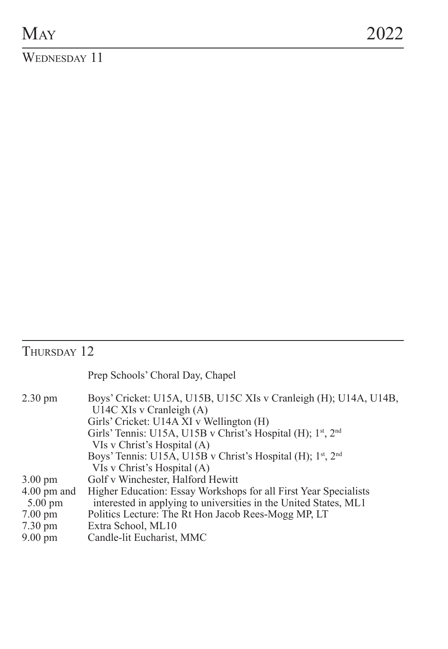WEDNESDAY 11

## THURSDAY 12

|                                    | Prep Schools' Choral Day, Chapel                                                                                                         |
|------------------------------------|------------------------------------------------------------------------------------------------------------------------------------------|
| 2.30 pm                            | Boys' Cricket: U15A, U15B, U15C XIs v Cranleigh (H); U14A, U14B,<br>U14C XIs v Cranleigh (A)<br>Girls' Cricket: U14A XI v Wellington (H) |
|                                    | Girls' Tennis: U15A, U15B v Christ's Hospital (H); 1st, 2nd<br>VIs v Christ's Hospital (A)                                               |
|                                    | Boys' Tennis: U15A, U15B v Christ's Hospital (H); 1 <sup>st</sup> , 2 <sup>nd</sup><br>VIs v Christ's Hospital (A)                       |
| $3.00 \text{ pm}$                  | Golf v Winchester, Halford Hewitt                                                                                                        |
| $4.00$ pm and<br>$5.00 \text{ pm}$ | Higher Education: Essay Workshops for all First Year Specialists<br>interested in applying to universities in the United States, ML1     |
| $7.00 \text{ pm}$                  | Politics Lecture: The Rt Hon Jacob Rees-Mogg MP, LT                                                                                      |
| $7.30 \text{ pm}$                  | Extra School, ML10                                                                                                                       |
| $9.00 \text{ pm}$                  | Candle-lit Eucharist, MMC                                                                                                                |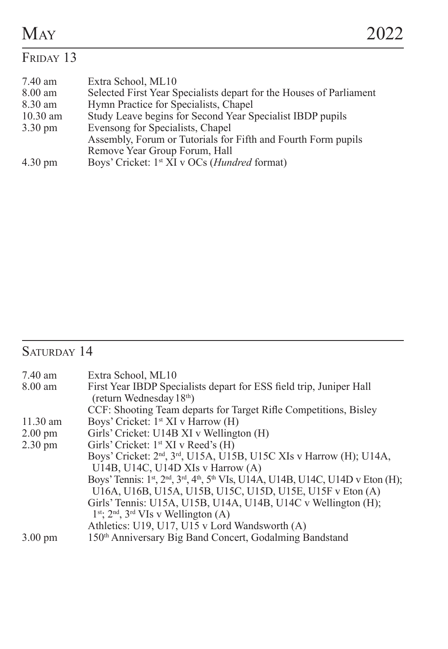## FRIDAY 13

| 7.40 am           | Extra School. ML10                                                  |
|-------------------|---------------------------------------------------------------------|
| 8.00 am           | Selected First Year Specialists depart for the Houses of Parliament |
| 8.30 am           | Hymn Practice for Specialists, Chapel                               |
| $10.30$ am        | Study Leave begins for Second Year Specialist IBDP pupils           |
| $3.30 \text{ pm}$ | Evensong for Specialists, Chapel                                    |
|                   | Assembly, Forum or Tutorials for Fifth and Fourth Form pupils       |
|                   | Remove Year Group Forum, Hall                                       |
| $4.30 \text{ pm}$ | Boys' Cricket: 1 <sup>st</sup> XI v OCs ( <i>Hundred</i> format)    |

## SATURDAY 14

| 7.40 am           | Extra School, ML10                                                                                                                            |
|-------------------|-----------------------------------------------------------------------------------------------------------------------------------------------|
| 8.00 am           | First Year IBDP Specialists depart for ESS field trip, Juniper Hall<br>(return Wednesday 18 <sup>th</sup> )                                   |
|                   | CCF: Shooting Team departs for Target Rifle Competitions, Bisley                                                                              |
| $11.30$ am        | Boys' Cricket: 1 <sup>st</sup> XI v Harrow (H)                                                                                                |
| $2.00 \text{ pm}$ | Girls' Cricket: U14B XI v Wellington (H)                                                                                                      |
| $2.30 \text{ pm}$ | Girls' Cricket: 1 <sup>st</sup> XI v Reed's (H)                                                                                               |
|                   | Boys' Cricket: 2 <sup>nd</sup> , 3 <sup>rd</sup> , U15A, U15B, U15C XIs v Harrow (H); U14A,                                                   |
|                   | U14B, U14C, U14D XIs v Harrow (A)                                                                                                             |
|                   | Boys' Tennis: 1 <sup>st</sup> , 2 <sup>nd</sup> , 3 <sup>rd</sup> , 4 <sup>th</sup> , 5 <sup>th</sup> VIs, U14A, U14B, U14C, U14D v Eton (H); |
|                   | U16A, U16B, U15A, U15B, U15C, U15D, U15E, U15F v Eton (A)                                                                                     |
|                   | Girls' Tennis: U15A, U15B, U14A, U14B, U14C v Wellington (H);                                                                                 |
|                   | $1^{st}$ ; $2^{nd}$ , $3^{rd}$ VIs v Wellington (A)                                                                                           |
|                   | Athletics: U19, U17, U15 v Lord Wandsworth (A)                                                                                                |
| $3.00 \text{ pm}$ | 150th Anniversary Big Band Concert, Godalming Bandstand                                                                                       |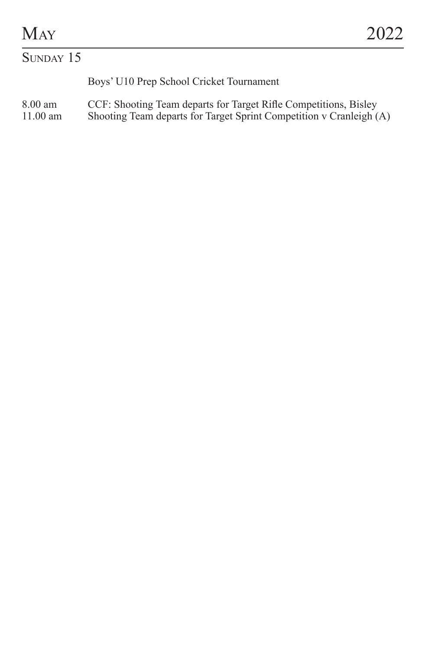## SUNDAY 15

Boys' U10 Prep School Cricket Tournament

#### 8.00 am CCF: Shooting Team departs for Target Rifle Competitions, Bisley<br>11.00 am Shooting Team departs for Target Sprint Competition v Cranleigh ( 11.00 am Shooting Team departs for Target Sprint Competition v Cranleigh (A)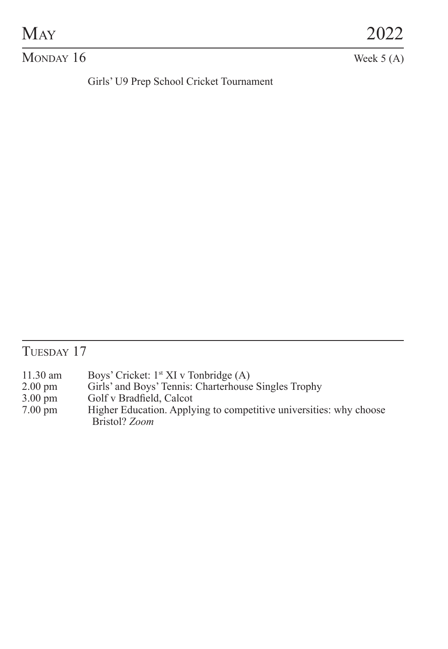# $M_{AY}$  2022

#### $M$ ONDAY 16 Week 5 (A)

Girls' U9 Prep School Cricket Tournament

## TUESDAY 17

- 11.30 am Boys' Cricket: 1<sup>st</sup> XI v Tonbridge (A)<br>2.00 pm Girls' and Boys' Tennis: Charterhouse
- 2.00 pm Girls' and Boys' Tennis: Charterhouse Singles Trophy<br>3.00 pm Golf v Bradfield, Calcot
- 3.00 pm Golf v Bradfield, Calcot<br>7.00 pm Higher Education. Apply
- Higher Education. Applying to competitive universities: why choose Bristol? *Zoom*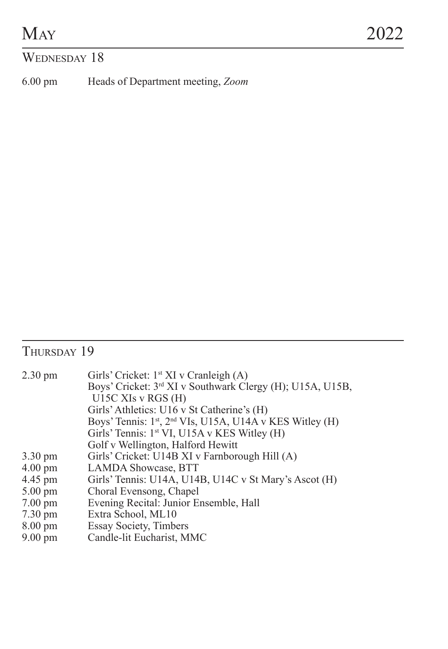### WEDNESDAY 18

6.00 pm Heads of Department meeting, *Zoom*

## THURSDAY 19

| $2.30 \text{ pm}$ | Girls' Cricket: $1st XI v Cranleigh (A)$                              |
|-------------------|-----------------------------------------------------------------------|
|                   | Boys' Cricket: 3 <sup>rd</sup> XI v Southwark Clergy (H); U15A, U15B, |
|                   | U15C XIs v RGS (H)                                                    |
|                   | Girls' Athletics: U16 v St Catherine's (H)                            |
|                   | Boys' Tennis: 1st, 2 <sup>nd</sup> VIs, U15A, U14A v KES Witley (H)   |
|                   | Girls' Tennis: $1^{\text{st}}$ VI, U15A v KES Witley (H)              |
|                   | Golf v Wellington, Halford Hewitt                                     |
| $3.30 \text{ pm}$ | Girls' Cricket: U14B XI v Farnborough Hill (A)                        |
| $4.00 \text{ pm}$ | <b>LAMDA Showcase, BTT</b>                                            |
| 4.45 pm           | Girls' Tennis: U14A, U14B, U14C v St Mary's Ascot (H)                 |
| $5.00 \text{ pm}$ | Choral Evensong, Chapel                                               |
| $7.00 \text{ pm}$ | Evening Recital: Junior Ensemble, Hall                                |
| $7.30 \text{ pm}$ | Extra School, ML10                                                    |
| $8.00 \text{ pm}$ | <b>Essay Society, Timbers</b>                                         |
| $9.00 \text{ pm}$ | Candle-lit Eucharist, MMC                                             |
|                   |                                                                       |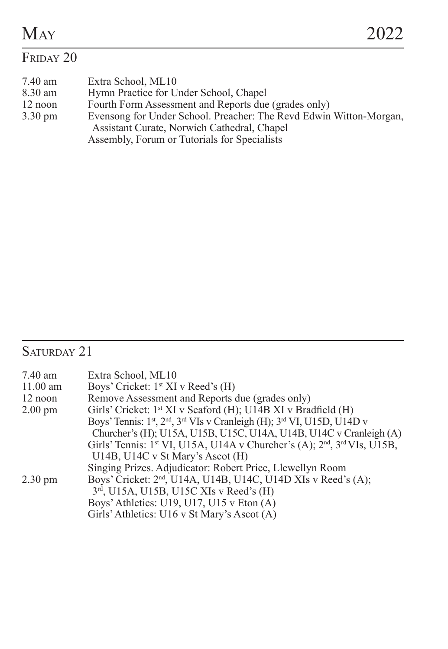## FRIDAY 20

| 7.40 am           | Extra School. ML10                                                 |
|-------------------|--------------------------------------------------------------------|
| 8.30 am           | Hymn Practice for Under School, Chapel                             |
| 12 noon           | Fourth Form Assessment and Reports due (grades only)               |
| $3.30 \text{ pm}$ | Evensong for Under School. Preacher: The Revd Edwin Witton-Morgan, |
|                   | Assistant Curate, Norwich Cathedral, Chapel                        |
|                   | Assembly, Forum or Tutorials for Specialists                       |

## SATURDAY 21

| Extra School, ML10                                                                       |
|------------------------------------------------------------------------------------------|
| Boys' Cricket: 1 <sup>st</sup> XI v Reed's (H)                                           |
| Remove Assessment and Reports due (grades only)                                          |
| Girls' Cricket: 1 <sup>st</sup> XI v Seaford (H); U14B XI v Bradfield (H)                |
| Boys' Tennis: 1st, 2nd, 3rd VIs v Cranleigh (H); 3rd VI, U15D, U14D v                    |
| Churcher's (H); U15A, U15B, U15C, U14A, U14B, U14C v Cranleigh (A)                       |
| Girls' Tennis: 1 <sup>st</sup> VI, U15A, U14A v Churcher's (A); $2nd$ , $3rd$ VIs, U15B, |
| U14B, U14C v St Mary's Ascot (H)                                                         |
| Singing Prizes. Adjudicator: Robert Price, Llewellyn Room                                |
| Boys' Cricket: 2 <sup>nd</sup> , U14A, U14B, U14C, U14D XIs v Reed's (A);                |
| 3rd, U15A, U15B, U15C XIs v Reed's (H)                                                   |
| Boys' Athletics: U19, U17, U15 v Eton $(A)$                                              |
| Girls' Athletics: U16 v St Mary's Ascot (A)                                              |
|                                                                                          |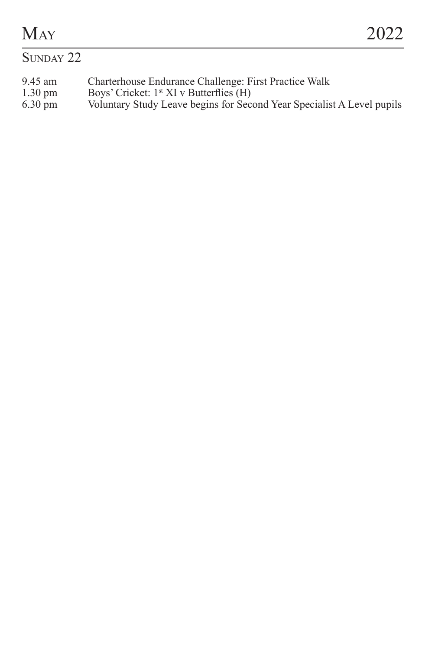# $M_{AY}$  2022

#### SUNDAY 22

- 9.45 am Charterhouse Endurance Challenge: First Practice Walk<br>1.30 pm Boys' Cricket: 1<sup>\*</sup> XI v Butterflies (H)
- 
- 1.30 pm Boys' Cricket: 1<sup>st</sup> XI v Butterflies (H) 6.30 pm Voluntary Study Leave begins for Sec Figure Contract Figure Corp. Second Year Specialist A Level pupils Voluntary Study Leave begins for Second Year Specialist A Level pupils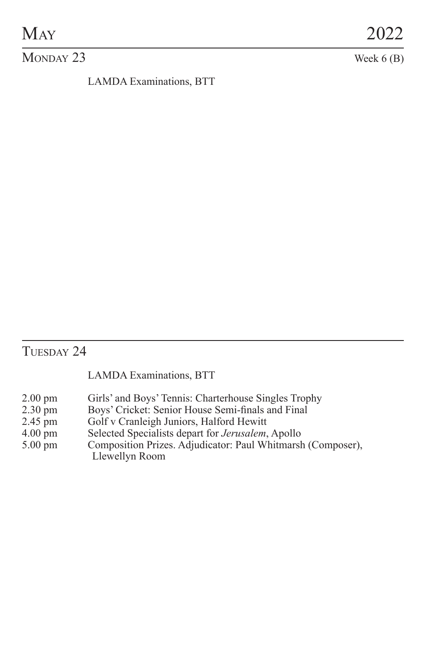#### $M$ ONDAY 23 Week 6 (B)

LAMDA Examinations, BTT

#### THESDAY 24

#### LAMDA Examinations, BTT

- 2.00 pm Girls' and Boys' Tennis: Charterhouse Singles Trophy<br>2.30 pm Boys' Cricket: Senior House Semi-finals and Final
- 2.30 pm Boys' Cricket: Senior House Semi-finals and Final 2.45 pm Golf v Cranleigh Juniors, Halford Hewitt
- 2.45 pm Golf v Cranleigh Juniors, Halford Hewitt<br>4.00 pm Selected Specialists depart for Jerusalem,
- 4.00 pm Selected Specialists depart for *Jerusalem*, Apollo
- Composition Prizes. Adjudicator: Paul Whitmarsh (Composer), Llewellyn Room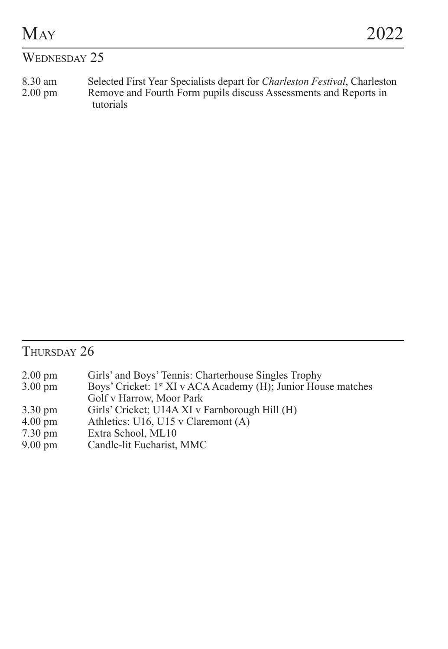| <b>MAY</b>   |  |  |  |  | 2022 |  |  |
|--------------|--|--|--|--|------|--|--|
| WEDNESDAY 25 |  |  |  |  |      |  |  |
| - - -        |  |  |  |  |      |  |  |

8.30 am Selected First Year Specialists depart for *Charleston Festival*, Charleston 2.00 pm Remove and Fourth Form pupils discuss Assessments and Reports in tutorials

## $T<sub>HIRSDAY</sub>$  26

| $2.00 \text{ pm}$ |  | Girls' and Boys' Tennis: Charterhouse Singles Trophy |  |
|-------------------|--|------------------------------------------------------|--|
|                   |  |                                                      |  |

- 3.00 pm Boys' Cricket: 1st XI v ACA Academy (H); Junior House matches Golf v Harrow, Moor Park
- 3.30 pm Girls' Cricket; U14A XI v Farnborough Hill (H) 4.00 pm Athletics: U16, U15 v Claremont (A)
- 4.00 pm<br>
T.30 pm<br>
Extra School, ML10<br>
Allowski, D.12<br>
Allowski, D.12<br>
Allowski, D.12<br>
Allowski, D.12<br>
Allowski, D.12<br>
Allowski, D.12<br>
Allowski, D.12<br>
Allowski, D.12<br>
Allowski, D.12<br>
Allowski, D.12<br>
Allowski, D.12<br>
Allowski
- 7.30 pm<br>
Extra School, ML10<br>
9.00 pm<br>
Candle-lit Eucharist,
- Candle-lit Eucharist, MMC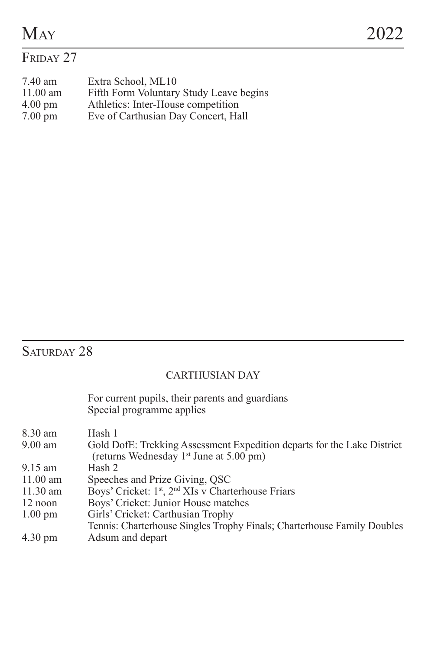### FRIDAY 27

| 7.40 am           | Extra School, ML10                      |
|-------------------|-----------------------------------------|
| $11.00$ am        | Fifth Form Voluntary Study Leave begins |
| $4.00 \text{ pm}$ | Athletics: Inter-House competition      |
| $7.00 \text{ pm}$ | Eve of Carthusian Day Concert, Hall     |

## SATURDAY 28

#### CARTHUSIAN DAY

For current pupils, their parents and guardians Special programme applies

| 8.30 am           | Hash 1                                                                     |
|-------------------|----------------------------------------------------------------------------|
| $9.00$ am         | Gold DofE: Trekking Assessment Expedition departs for the Lake District    |
|                   | (returns Wednesday 1 <sup>st</sup> June at 5.00 pm)                        |
| 9.15 am           | Hash 2                                                                     |
| $11.00$ am        | Speeches and Prize Giving, OSC                                             |
| $11.30$ am        | Boys' Cricket: 1 <sup>st</sup> , 2 <sup>nd</sup> XIs v Charterhouse Friars |
| 12 noon           | Boys' Cricket: Junior House matches                                        |
| $1.00 \text{ pm}$ | Girls' Cricket: Carthusian Trophy                                          |
|                   | Tennis: Charterhouse Singles Trophy Finals; Charterhouse Family Doubles    |
| $4.30 \text{ pm}$ | Adsum and depart                                                           |
|                   |                                                                            |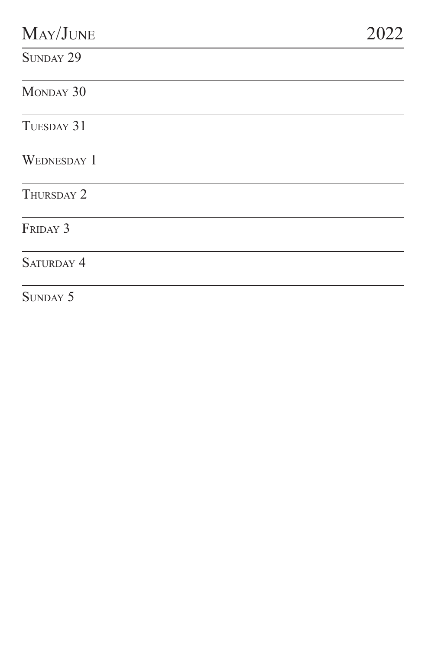| MAY/JUNE           | 22<br>20 |
|--------------------|----------|
| SUNDAY 29          |          |
| MONDAY 30          |          |
| TUESDAY 31         |          |
| <b>WEDNESDAY 1</b> |          |
| THURSDAY 2         |          |
| FRIDAY 3           |          |
| SATURDAY 4         |          |
| SUNDAY 5           |          |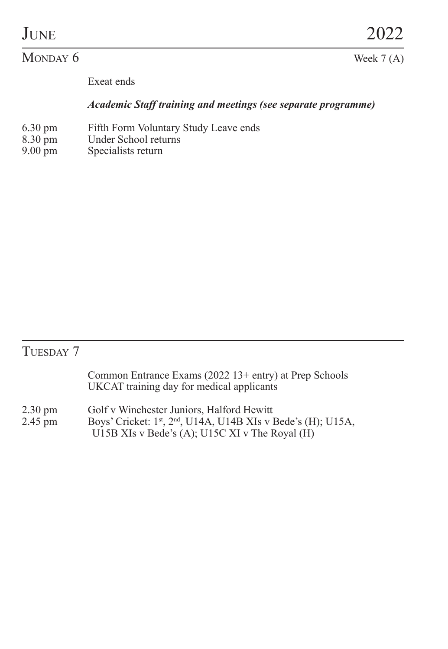#### $M$ ONDAY  $6$  Week 7 (A)

Exeat ends

#### *Academic Staff training and meetings (see separate programme)*

- 6.30 pm Fifth Form Voluntary Study Leave ends
- 8.30 pm<br>
9.00 pm<br>
9.00 pm<br>
8.9 pecialists return
- Specialists return

## TUESDAY 7

|                              | Common Entrance Exams (2022 13+ entry) at Prep Schools<br>UKCAT training day for medical applicants                                                        |
|------------------------------|------------------------------------------------------------------------------------------------------------------------------------------------------------|
| $2.30 \text{ pm}$<br>2.45 pm | Golf v Winchester Juniors. Halford Hewitt<br>Boys' Cricket: 1st, 2nd, U14A, U14B XIs v Bede's (H); U15A,<br>U15B XIs v Bede's (A); U15C XI v The Royal (H) |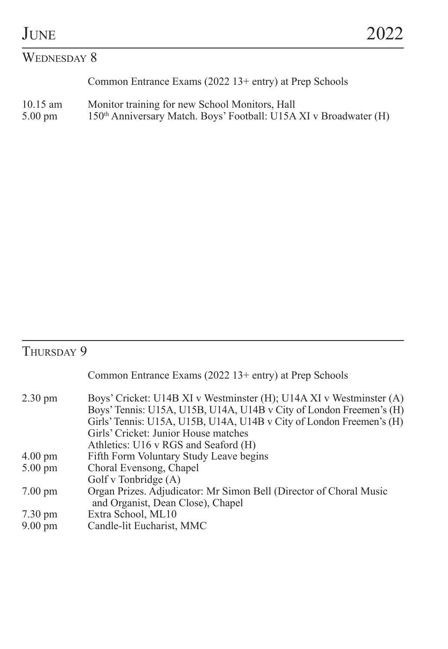#### WEDNESDAY 8

Common Entrance Exams (2022 13+ entry) at Prep Schools

10.15 am Monitor training for new School Monitors, Hall<br>5.00 pm 150<sup>th</sup> Anniversary Match. Boys' Football: U15A XI v Broadwater (H)

## THURSDAY 9

|                   | Common Entrance Exams (2022 13+ entry) at Prep Schools                                                                                                                                                                                                                                             |
|-------------------|----------------------------------------------------------------------------------------------------------------------------------------------------------------------------------------------------------------------------------------------------------------------------------------------------|
| $2.30 \text{ pm}$ | Boys' Cricket: U14B XI v Westminster (H); U14A XI v Westminster (A)<br>Boys' Tennis: U15A, U15B, U14A, U14B v City of London Freemen's (H)<br>Girls' Tennis: U15A, U15B, U14A, U14B v City of London Freemen's (H)<br>Girls' Cricket: Junior House matches<br>Athletics: U16 v RGS and Seaford (H) |
| $4.00 \text{ pm}$ | Fifth Form Voluntary Study Leave begins                                                                                                                                                                                                                                                            |
| $5.00 \text{ pm}$ | Choral Evensong, Chapel                                                                                                                                                                                                                                                                            |
|                   | Golf v Tonbridge (A)                                                                                                                                                                                                                                                                               |
| $7.00 \text{ pm}$ | Organ Prizes. Adjudicator: Mr Simon Bell (Director of Choral Music<br>and Organist, Dean Close), Chapel                                                                                                                                                                                            |
| $7.30 \text{ pm}$ | Extra School, ML10                                                                                                                                                                                                                                                                                 |
| $9.00 \text{ pm}$ | Candle-lit Eucharist, MMC                                                                                                                                                                                                                                                                          |
|                   |                                                                                                                                                                                                                                                                                                    |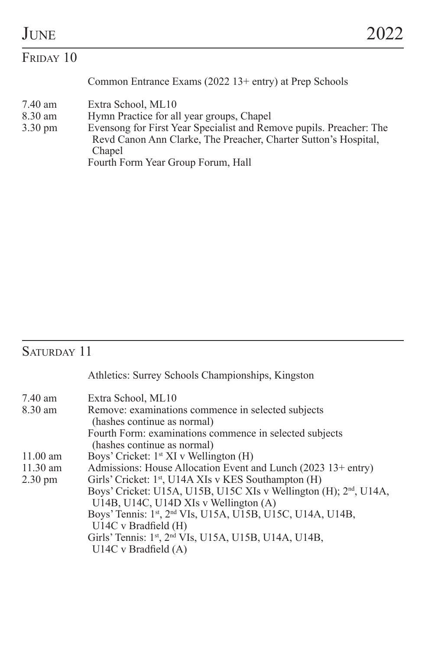| JUNE                                    |                                                                                                                                                                                                                                                           |  |
|-----------------------------------------|-----------------------------------------------------------------------------------------------------------------------------------------------------------------------------------------------------------------------------------------------------------|--|
| FRIDAY 10                               |                                                                                                                                                                                                                                                           |  |
|                                         | Common Entrance Exams (2022 13+ entry) at Prep Schools                                                                                                                                                                                                    |  |
| 7.40 am<br>8.30 am<br>$3.30 \text{ pm}$ | Extra School, ML10<br>Hymn Practice for all year groups, Chapel<br>Evensong for First Year Specialist and Remove pupils. Preacher: The<br>Revd Canon Ann Clarke, The Preacher, Charter Sutton's Hospital,<br>Chapel<br>Fourth Form Year Group Forum, Hall |  |

## SATURDAY 11

|                   | Athletics: Surrey Schools Championships, Kingston                                      |
|-------------------|----------------------------------------------------------------------------------------|
| 7.40 am           | Extra School, ML10                                                                     |
| 8.30 am           | Remove: examinations commence in selected subjects                                     |
|                   | (hashes continue as normal)<br>Fourth Form: examinations commence in selected subjects |
|                   | (hashes continue as normal)                                                            |
| $11.00$ am        | Boys' Cricket: 1 <sup>st</sup> XI v Wellington (H)                                     |
| $11.30$ am        | Admissions: House Allocation Event and Lunch (2023 13+ entry)                          |
| $2.30 \text{ pm}$ | Girls' Cricket: 1 <sup>st</sup> , U14A XIs v KES Southampton (H)                       |
|                   | Boys' Cricket: U15A, U15B, U15C XIs v Wellington (H); 2 <sup>nd</sup> , U14A,          |
|                   | U14B, U14C, U14D XIs v Wellington (A)                                                  |
|                   | Boys' Tennis: 1st, 2nd VIs, U15A, U15B, U15C, U14A, U14B,                              |
|                   | U14C v Bradfield (H)                                                                   |
|                   | Girls' Tennis: 1st, 2nd VIs, U15A, U15B, U14A, U14B,                                   |
|                   | $U14C$ v Bradfield $(A)$                                                               |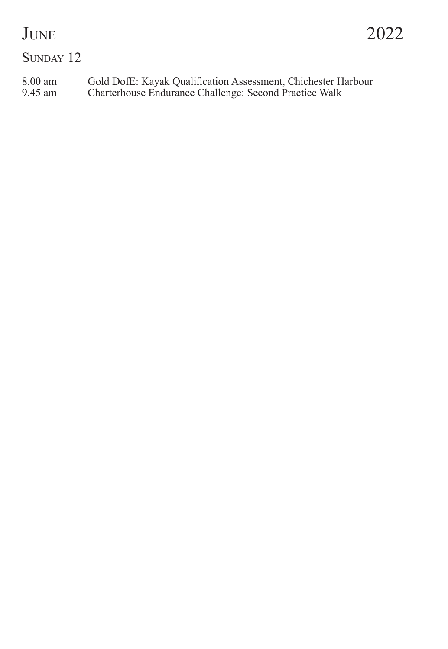### $S$ UNDAY 12

8.00 am Gold DofE: Kayak Qualification Assessment, Chichester Harbour 9.45 am Charterhouse Endurance Challenge: Second Practice Walk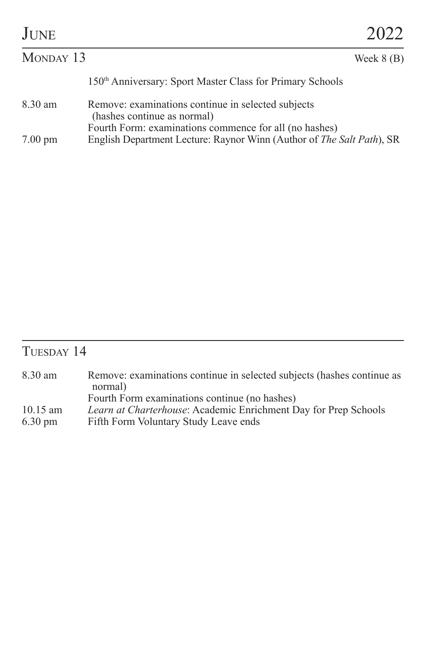| <b>JUNE</b>                                                                                  |                                                           | 2022                                                                  |  |
|----------------------------------------------------------------------------------------------|-----------------------------------------------------------|-----------------------------------------------------------------------|--|
| MONDAY 13                                                                                    |                                                           | Week $8$ (B)                                                          |  |
|                                                                                              | 150th Anniversary: Sport Master Class for Primary Schools |                                                                       |  |
| Remove: examinations continue in selected subjects<br>8.30 am<br>(hashes continue as normal) |                                                           |                                                                       |  |
| $7.00 \text{ pm}$                                                                            | Fourth Form: examinations commence for all (no hashes)    | English Department Lecture: Raynor Winn (Author of The Salt Path), SR |  |

## TUESDAY 14

| 8.30 am           | Remove: examinations continue in selected subjects (hashes continue as |
|-------------------|------------------------------------------------------------------------|
|                   | normal)                                                                |
|                   | Fourth Form examinations continue (no hashes)                          |
| $10.15$ am        | <i>Learn at Charterhouse:</i> Academic Enrichment Day for Prep Schools |
| $6.30 \text{ pm}$ | Fifth Form Voluntary Study Leave ends                                  |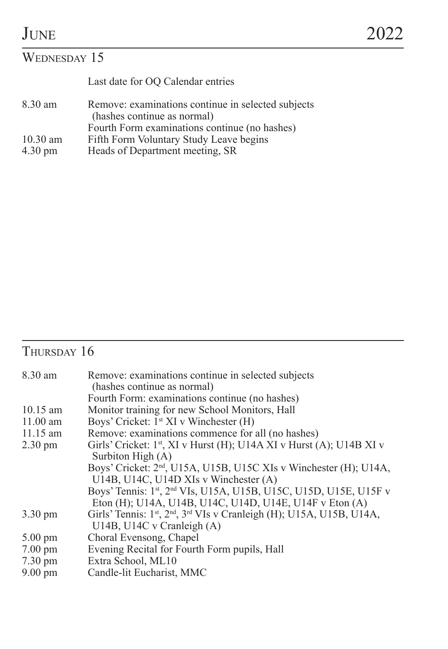## WEDNESDAY 15

|                   | Last date for OO Calendar entries                                                 |
|-------------------|-----------------------------------------------------------------------------------|
| 8.30 am           | Remove: examinations continue in selected subjects<br>(hashes continue as normal) |
|                   | Fourth Form examinations continue (no hashes)                                     |
| $10.30$ am        | Fifth Form Voluntary Study Leave begins                                           |
| $4.30 \text{ pm}$ | Heads of Department meeting, SR                                                   |

## THURSDAY 16

| 8.30 am           | Remove: examinations continue in selected subjects                                                        |  |  |
|-------------------|-----------------------------------------------------------------------------------------------------------|--|--|
|                   | (hashes continue as normal)                                                                               |  |  |
|                   | Fourth Form: examinations continue (no hashes)                                                            |  |  |
| $10.15$ am        | Monitor training for new School Monitors, Hall                                                            |  |  |
| $11.00$ am        | Boys' Cricket: 1 <sup>st</sup> XI v Winchester (H)                                                        |  |  |
| $11.15$ am        | Remove: examinations commence for all (no hashes)                                                         |  |  |
| $2.30 \text{ pm}$ | Girls' Cricket: 1 <sup>st</sup> , XI v Hurst (H); U14A XI v Hurst (A); U14B XI v                          |  |  |
|                   | Surbiton High (A)                                                                                         |  |  |
|                   | Boys' Cricket: 2 <sup>nd</sup> , U15A, U15B, U15C XIs v Winchester (H); U14A,                             |  |  |
|                   | U14B, U14C, U14D XIs v Winchester (A)                                                                     |  |  |
|                   | Boys' Tennis: 1st, 2nd VIs, U15A, U15B, U15C, U15D, U15E, U15F v                                          |  |  |
|                   | Eton (H); U14A, U14B, U14C, U14D, U14E, U14F v Eton (A)                                                   |  |  |
| $3.30 \text{ pm}$ | Girls' Tennis: 1 <sup>st</sup> , 2 <sup>nd</sup> , 3 <sup>rd</sup> VIs v Cranleigh (H); U15A, U15B, U14A, |  |  |
|                   | U14B, U14C v Cranleigh (A)                                                                                |  |  |
| $5.00 \text{ pm}$ | Choral Evensong, Chapel                                                                                   |  |  |
| $7.00 \text{ pm}$ | Evening Recital for Fourth Form pupils, Hall                                                              |  |  |
| $7.30 \text{ pm}$ | Extra School, ML10                                                                                        |  |  |
| $9.00 \text{ pm}$ | Candle-lit Eucharist, MMC                                                                                 |  |  |
|                   |                                                                                                           |  |  |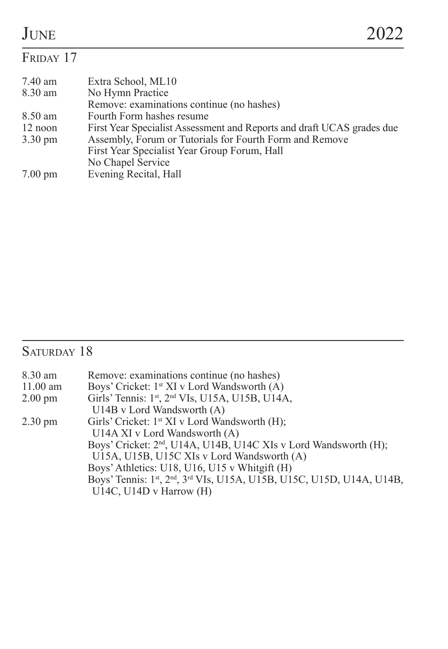#### FRIDAY 17 7.40 am Extra School, ML10<br>8.30 am No Hymn Practice No Hymn Practice Remove: examinations continue (no hashes) 8.50 am Fourth Form hashes resume<br>12 noon First Year Specialist Assessm 12 noon First Year Specialist Assessment and Reports and draft UCAS grades due<br>3.30 pm Assembly, Forum or Tutorials for Fourth Form and Remove Assembly, Forum or Tutorials for Fourth Form and Remove First Year Specialist Year Group Forum, Hall No Chapel Service 7.00 pm Evening Recital, Hall

#### Saturday 18

| 8.30 am           | Remove: examinations continue (no hashes)                                    |
|-------------------|------------------------------------------------------------------------------|
| $11.00$ am        | Boys' Cricket: 1 <sup>st</sup> XI v Lord Wandsworth (A)                      |
| $2.00 \text{ pm}$ | Girls' Tennis: 1st, 2nd VIs, U15A, U15B, U14A,                               |
|                   | U14B v Lord Wandsworth (A)                                                   |
| $2.30 \text{ pm}$ | Girls' Cricket: 1 <sup>st</sup> XI v Lord Wandsworth (H);                    |
|                   | U14A XI v Lord Wandsworth (A)                                                |
|                   | Boys' Cricket: 2 <sup>nd</sup> , U14A, U14B, U14C XIs v Lord Wandsworth (H); |
|                   | U15A, U15B, U15C XIs v Lord Wandsworth (A)                                   |
|                   | Boys' Athletics: U18, U16, U15 v Whitgift (H)                                |
|                   | Boys' Tennis: 1st, 2nd, 3rd VIs, U15A, U15B, U15C, U15D, U14A, U14B,         |
|                   | U14C, U14D v Harrow (H)                                                      |
|                   |                                                                              |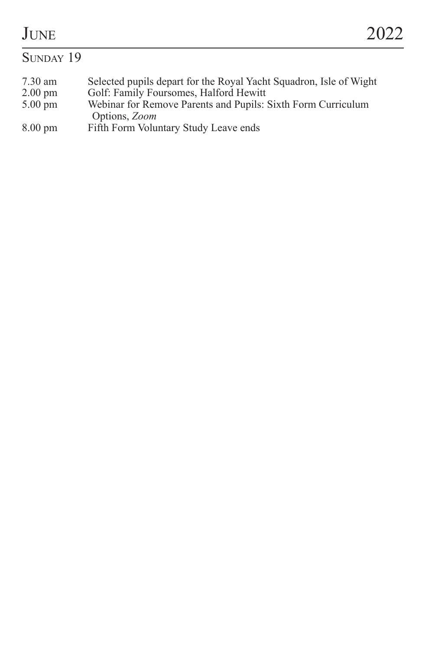# $J_{\text{UNE}}$  2022

#### SUNDAY 19 7.30 am Selected pupils depart for the Royal Yacht Squadron, Isle of Wight 2.00 pm Golf: Family Foursomes, Halford Hewitt<br>5.00 pm Webinar for Remove Parents and Pupils: 5.00 pm Webinar for Remove Parents and Pupils: Sixth Form Curriculum Options, *Zoom* 8.00 pm Fifth Form Voluntary Study Leave ends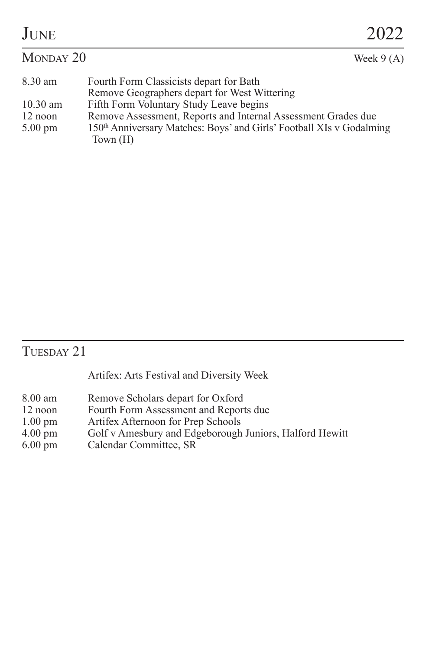| <b>JUNE</b>       |                                                                                    | 2022        |
|-------------------|------------------------------------------------------------------------------------|-------------|
| MONDAY 20         |                                                                                    | Week $9(A)$ |
| 8.30 am           | Fourth Form Classicists depart for Bath                                            |             |
|                   | Remove Geographers depart for West Wittering                                       |             |
| $10.30$ am        | Fifth Form Voluntary Study Leave begins                                            |             |
| 12 noon           | Remove Assessment, Reports and Internal Assessment Grades due                      |             |
| $5.00 \text{ pm}$ | 150th Anniversary Matches: Boys' and Girls' Football XIs v Godalming<br>Town $(H)$ |             |

## TUESDAY 21

Artifex: Arts Festival and Diversity Week

- 8.00 am Remove Scholars depart for Oxford<br>12 noon Fourth Form Assessment and Report
- 12 noon Fourth Form Assessment and Reports due<br>1.00 pm Artifex Afternoon for Prep Schools
- 1.00 pm Artifex Afternoon for Prep Schools<br>4.00 pm Golf v Amesbury and Edgeborough
- 4.00 pm Golf v Amesbury and Edgeborough Juniors, Halford Hewitt
- Calendar Committee, SR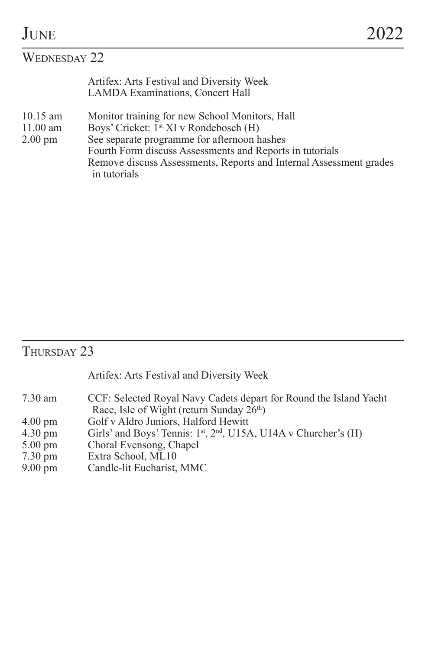## WEDNESDAY 22

| Artifex: Arts Festival and Diversity Week |
|-------------------------------------------|
| <b>LAMDA Examinations, Concert Hall</b>   |

- 10.15 am Monitor training for new School Monitors, Hall<br>11.00 am Boys' Cricket:  $1$ <sup>st</sup> XI v Rondebosch (H)
- 11.00 am Boys' Cricket:  $I^{\text{st}}$  XI v Rondebosch (H) 2.00 pm See separate programme for afternoon h
- See separate programme for afternoon hashes

Fourth Form discuss Assessments and Reports in tutorials Remove discuss Assessments, Reports and Internal Assessment grades in tutorials

### THURSDAY 23

Artifex: Arts Festival and Diversity Week

- 7.30 am CCF: Selected Royal Navy Cadets depart for Round the Island Yacht Race, Isle of Wight (return Sunday 26<sup>th</sup>)
- 4.00 pm Golf v Aldro Juniors, Halford Hewitt<br>4.30 pm Girls' and Boys' Tennis:  $1^{st}$ ,  $2^{nd}$ , U15/
- 4.30 pm Girls' and Boys' Tennis:  $1^{\text{st}}$ ,  $2^{\text{nd}}$ , U15A, U14A v Churcher's (H) 5.00 pm Choral Evensong, Chapel
- 5.00 pm Choral Evensong, Chapel<br>7.30 pm Extra School, ML10
- 7.30 pm<br> **Extra School, ML10**<br> **P.00 pm**<br> **Candle-lit Eucharist.**
- Candle-lit Eucharist, MMC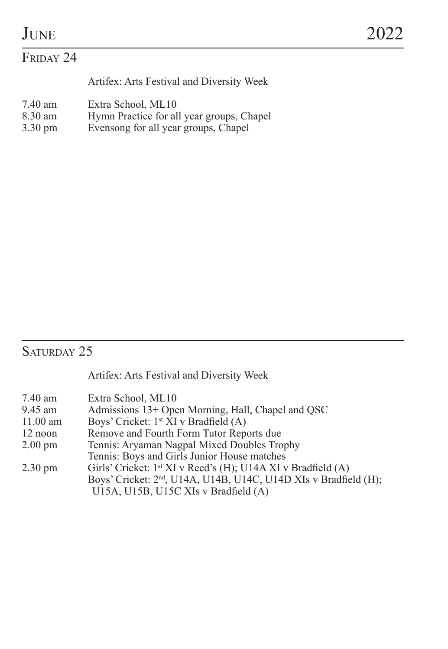#### FRIDAY 24

Artifex: Arts Festival and Diversity Week

- 7.40 am Extra School, ML10<br>8.30 am Hymn Practice for all
- 8.30 am Hymn Practice for all year groups, Chapel<br>3.30 pm Evensong for all year groups, Chapel
- Evensong for all year groups, Chapel

#### Saturday 25

Artifex: Arts Festival and Diversity Week

- 9.45 am Admissions 13+ Open Morning, Hall, Chapel and QSC<br>11.00 am Boys' Cricket:  $1$ <sup>\*</sup> XI v Bradfield (A)
- 11.00 am Boys' Cricket:  $1^{st}$  XI v Bradfield (A)<br>12 noon Remove and Fourth Form Tutor Rep
- 12 noon Remove and Fourth Form Tutor Reports due<br>2.00 pm Tennis: Aryaman Nagpal Mixed Doubles Tro
- Tennis: Aryaman Nagpal Mixed Doubles Trophy
- Tennis: Boys and Girls Junior House matches
- 2.30 pm Girls' Cricket: 1<sup>st</sup> XI v Reed's (H); U14A XI v Bradfield (A) Boys' Cricket: 2<sup>nd</sup>, U14A, U14B, U14C, U14D XIs v Bradfield (H); U15A, U15B, U15C XIs v Bradfield (A)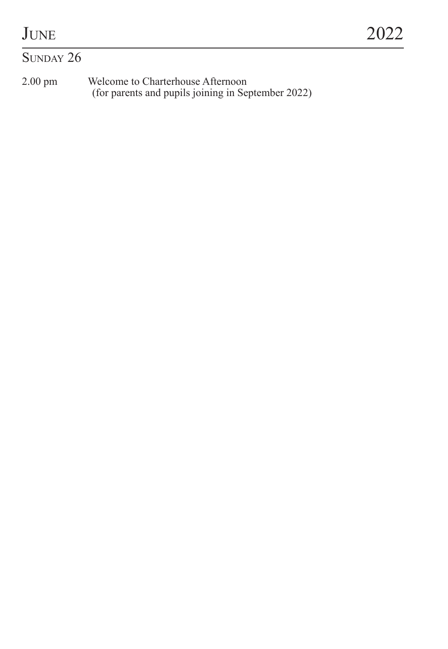## $S$ UNDAY 26

2.00 pm Welcome to Charterhouse Afternoon (for parents and pupils joining in September 2022)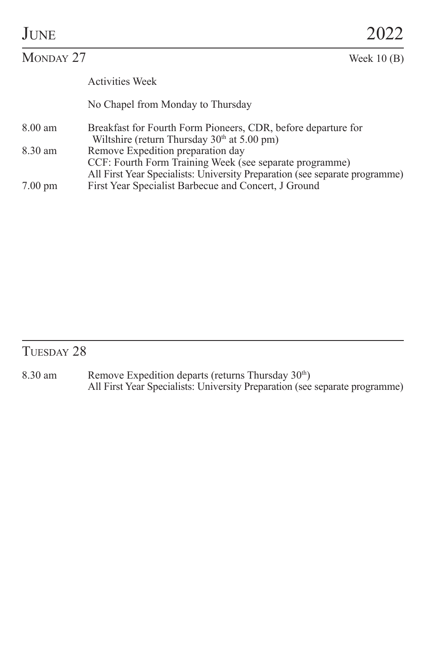| JUNE      |                                                                                                                                                                             | 2022         |  |
|-----------|-----------------------------------------------------------------------------------------------------------------------------------------------------------------------------|--------------|--|
| MONDAY 27 |                                                                                                                                                                             | Week $10(B)$ |  |
|           | <b>Activities Week</b>                                                                                                                                                      |              |  |
|           | No Chapel from Monday to Thursday                                                                                                                                           |              |  |
| 8.00 am   | Breakfast for Fourth Form Pioneers, CDR, before departure for<br>Wiltshire (return Thursday $30th$ at $5.00$ pm)                                                            |              |  |
| 8.30 am   | Remove Expedition preparation day<br>CCF: Fourth Form Training Week (see separate programme)<br>All First Year Specialists: University Preparation (see separate programme) |              |  |

All First Year Specialists: University Preparation (see separate programme) 7.00 pm First Year Specialist Barbecue and Concert, J Ground

#### TUESDAY 28

8.30 am Remove Expedition departs (returns Thursday 30<sup>th</sup>)<br>All First Year Specialists: University Preparation (see separate programme)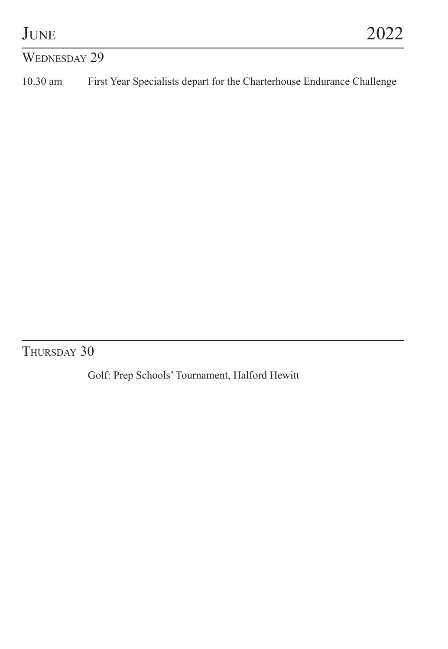#### WEDNESDAY 29

10.30 am First Year Specialists depart for the Charterhouse Endurance Challenge

THURSDAY 30

Golf: Prep Schools' Tournament, Halford Hewitt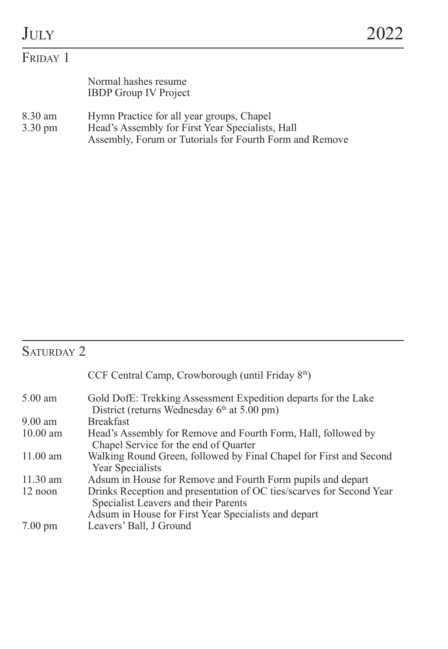| JULY               |                                                                                               | 2022 |
|--------------------|-----------------------------------------------------------------------------------------------|------|
| FRIDAY 1           |                                                                                               |      |
|                    | Normal hashes resume<br><b>IBDP</b> Group IV Project                                          |      |
| 8.30 am<br>3.30 pm | Hymn Practice for all year groups, Chapel<br>Head's Assembly for First Year Specialists. Hall |      |

3.30 pm Head's Assembly for First Year Specialists, Hall Assembly, Forum or Tutorials for Fourth Form and Remove

## SATURDAY 2

| CCF Central Camp, Crowborough (until Friday 8 <sup>th</sup> )                                                                                                        |
|----------------------------------------------------------------------------------------------------------------------------------------------------------------------|
| Gold DofE: Trekking Assessment Expedition departs for the Lake<br>District (returns Wednesday $6th$ at 5.00 pm)                                                      |
| <b>Breakfast</b>                                                                                                                                                     |
| Head's Assembly for Remove and Fourth Form, Hall, followed by<br>Chapel Service for the end of Quarter                                                               |
| Walking Round Green, followed by Final Chapel for First and Second<br>Year Specialists                                                                               |
| Adsum in House for Remove and Fourth Form pupils and depart                                                                                                          |
| Drinks Reception and presentation of OC ties/scarves for Second Year<br>Specialist Leavers and their Parents<br>Adsum in House for First Year Specialists and depart |
| Leavers' Ball, J Ground                                                                                                                                              |
|                                                                                                                                                                      |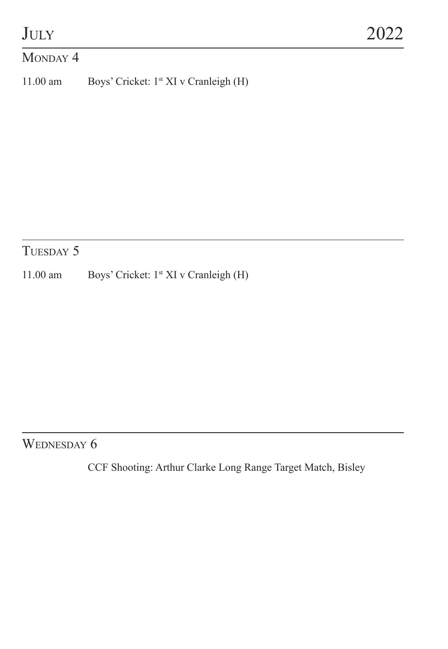#### MONDAY 4

11.00 am Boys' Cricket: 1st XI v Cranleigh (H)

## TUESDAY 5

11.00 am Boys' Cricket: 1<sup>st</sup> XI v Cranleigh (H)

#### WEDNESDAY 6

CCF Shooting: Arthur Clarke Long Range Target Match, Bisley